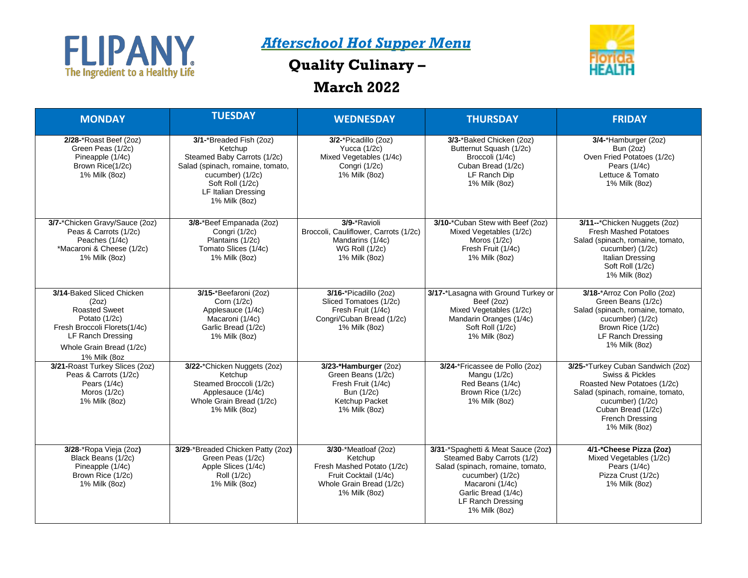

## *Afterschool Hot Supper Menu*

## **Quality Culinary –**



## **March 2022**

| <b>MONDAY</b>                                                                                                                                                                       | <b>TUESDAY</b>                                                                                                                                                                               | <b>WEDNESDAY</b>                                                                                                                                   | <b>THURSDAY</b>                                                                                                                                                                                          | <b>FRIDAY</b>                                                                                                                                                                                         |
|-------------------------------------------------------------------------------------------------------------------------------------------------------------------------------------|----------------------------------------------------------------------------------------------------------------------------------------------------------------------------------------------|----------------------------------------------------------------------------------------------------------------------------------------------------|----------------------------------------------------------------------------------------------------------------------------------------------------------------------------------------------------------|-------------------------------------------------------------------------------------------------------------------------------------------------------------------------------------------------------|
| 2/28-*Roast Beef (2oz)<br>Green Peas (1/2c)<br>Pineapple (1/4c)<br>Brown Rice(1/2c)<br>1% Milk (8oz)                                                                                | 3/1-*Breaded Fish (2oz)<br>Ketchup<br>Steamed Baby Carrots (1/2c)<br>Salad (spinach, romaine, tomato,<br>cucumber) (1/2c)<br>Soft Roll (1/2c)<br><b>LF Italian Dressing</b><br>1% Milk (8oz) | 3/2-*Picadillo (2oz)<br>Yucca $(1/2c)$<br>Mixed Vegetables (1/4c)<br>Congri (1/2c)<br>1% Milk (8oz)                                                | 3/3-*Baked Chicken (2oz)<br>Butternut Squash (1/2c)<br>Broccoli (1/4c)<br>Cuban Bread (1/2c)<br>LF Ranch Dip<br>1% Milk (80z)                                                                            | 3/4-*Hamburger (2oz)<br>Bun (2oz)<br>Oven Fried Potatoes (1/2c)<br>Pears $(1/4c)$<br>Lettuce & Tomato<br>1% Milk (8oz)                                                                                |
| 3/7-*Chicken Gravy/Sauce (2oz)<br>Peas & Carrots (1/2c)<br>Peaches (1/4c)<br>*Macaroni & Cheese (1/2c)<br>1% Milk (8oz)                                                             | 3/8-*Beef Empanada (2oz)<br>Congri (1/2c)<br>Plantains (1/2c)<br>Tomato Slices (1/4c)<br>1% Milk (8oz)                                                                                       | 3/9-*Ravioli<br>Broccoli, Cauliflower, Carrots (1/2c)<br>Mandarins (1/4c)<br><b>WG Roll (1/2c)</b><br>1% Milk (8oz)                                | 3/10-*Cuban Stew with Beef (2oz)<br>Mixed Vegetables (1/2c)<br>Moros $(1/2c)$<br>Fresh Fruit (1/4c)<br>1% Milk (80z)                                                                                     | 3/11--*Chicken Nuggets (2oz)<br><b>Fresh Mashed Potatoes</b><br>Salad (spinach, romaine, tomato,<br>cucumber) (1/2c)<br>Italian Dressing<br>Soft Roll (1/2c)<br>1% Milk (8oz)                         |
| 3/14-Baked Sliced Chicken<br>(2oz)<br><b>Roasted Sweet</b><br>Potato (1/2c)<br>Fresh Broccoli Florets(1/4c)<br><b>LF Ranch Dressing</b><br>Whole Grain Bread (1/2c)<br>1% Milk (8oz | 3/15-*Beefaroni (2oz)<br>Corn (1/2c)<br>Applesauce (1/4c)<br>Macaroni (1/4c)<br>Garlic Bread (1/2c)<br>1% Milk (8oz)                                                                         | 3/16-*Picadillo (2oz)<br>Sliced Tomatoes (1/2c)<br>Fresh Fruit (1/4c)<br>Congri/Cuban Bread (1/2c)<br>1% Milk (8oz)                                | 3/17-*Lasagna with Ground Turkey or<br>Beef (2oz)<br>Mixed Vegetables (1/2c)<br>Mandarin Oranges (1/4c)<br>Soft Roll (1/2c)<br>1% Milk (8oz)                                                             | 3/18-*Arroz Con Pollo (2oz)<br>Green Beans (1/2c)<br>Salad (spinach, romaine, tomato,<br>cucumber) (1/2c)<br>Brown Rice (1/2c)<br>LF Ranch Dressing<br>1% Milk (8oz)                                  |
| 3/21-Roast Turkey Slices (2oz)<br>Peas & Carrots (1/2c)<br>Pears $(1/4c)$<br>Moros $(1/2c)$<br>1% Milk (8oz)                                                                        | 3/22-*Chicken Nuggets (2oz)<br>Ketchup<br>Steamed Broccoli (1/2c)<br>Applesauce (1/4c)<br>Whole Grain Bread (1/2c)<br>1% Milk (8oz)                                                          | 3/23-*Hamburger (2oz)<br>Green Beans (1/2c)<br>Fresh Fruit (1/4c)<br>Bun (1/2c)<br>Ketchup Packet<br>1% Milk (8oz)                                 | 3/24-*Fricassee de Pollo (2oz)<br>Mangu (1/2c)<br>Red Beans (1/4c)<br>Brown Rice (1/2c)<br>1% Milk (8oz)                                                                                                 | 3/25-*Turkey Cuban Sandwich (2oz)<br>Swiss & Pickles<br>Roasted New Potatoes (1/2c)<br>Salad (spinach, romaine, tomato,<br>cucumber) (1/2c)<br>Cuban Bread (1/2c)<br>French Dressing<br>1% Milk (8oz) |
| 3/28-*Ropa Vieja (2oz)<br>Black Beans (1/2c)<br>Pineapple (1/4c)<br>Brown Rice (1/2c)<br>1% Milk (8oz)                                                                              | 3/29-*Breaded Chicken Patty (2oz)<br>Green Peas (1/2c)<br>Apple Slices (1/4c)<br>Roll (1/2c)<br>1% Milk (8oz)                                                                                | $3/30$ <sup>-*</sup> Meatloaf (2oz)<br>Ketchup<br>Fresh Mashed Potato (1/2c)<br>Fruit Cocktail (1/4c)<br>Whole Grain Bread (1/2c)<br>1% Milk (8oz) | 3/31-*Spaghetti & Meat Sauce (2oz)<br>Steamed Baby Carrots (1/2)<br>Salad (spinach, romaine, tomato,<br>cucumber) (1/2c)<br>Macaroni (1/4c)<br>Garlic Bread (1/4c)<br>LF Ranch Dressing<br>1% Milk (8oz) | 4/1-*Cheese Pizza (2oz)<br>Mixed Vegetables (1/2c)<br>Pears (1/4c)<br>Pizza Crust (1/2c)<br>1% Milk (8oz)                                                                                             |